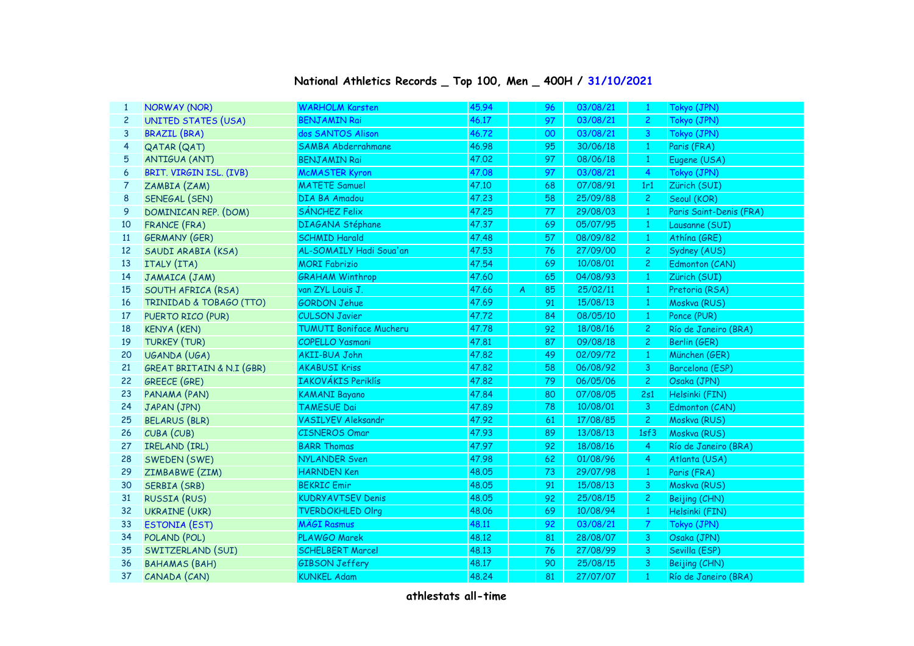| 1              | <b>NORWAY (NOR)</b>                  | <b>WARHOLM Karsten</b>         | 45.94 |                | 96 | 03/08/21 | $\mathbf{1}$   | Tokyo (JPN)             |
|----------------|--------------------------------------|--------------------------------|-------|----------------|----|----------|----------------|-------------------------|
| $\overline{c}$ | <b>UNITED STATES (USA)</b>           | <b>BENJAMIN Rai</b>            | 46.17 |                | 97 | 03/08/21 | $\mathbf{2}$   | Tokyo (JPN)             |
| 3              | <b>BRAZIL (BRA)</b>                  | dos SANTOS Alison              | 46.72 |                | 00 | 03/08/21 | 3              | Tokyo (JPN)             |
| 4              | QATAR (QAT)                          | SAMBA Abderrahmane             | 46.98 |                | 95 | 30/06/18 | $\mathbf{1}$   | Paris (FRA)             |
| 5              | <b>ANTIGUA (ANT)</b>                 | <b>BENJAMIN Rai</b>            | 47.02 |                | 97 | 08/06/18 | $\mathbf{1}$   | Eugene (USA)            |
| 6              | BRIT. VIRGIN ISL. (IVB)              | <b>McMASTER Kyron</b>          | 47.08 |                | 97 | 03/08/21 | $\overline{4}$ | Tokyo (JPN)             |
| 7              | ZAMBIA (ZAM)                         | <b>MATETE Samuel</b>           | 47.10 |                | 68 | 07/08/91 | 1r1            | Zürich (SUI)            |
| 8              | SENEGAL (SEN)                        | DIA BA Amadou                  | 47,23 |                | 58 | 25/09/88 | $\mathbf{2}$   | Seoul (KOR)             |
| 9              | DOMINICAN REP. (DOM)                 | SÁNCHEZ Felix                  | 47.25 |                | 77 | 29/08/03 | $\vert$ 1      | Paris Saint-Denis (FRA) |
| 10             | <b>FRANCE (FRA)</b>                  | DIAGANA Stéphane               | 47.37 |                | 69 | 05/07/95 | $\mathbf{1}$   | Lausanne (SUI)          |
| 11             | <b>GERMANY (GER)</b>                 | <b>SCHMID Harald</b>           | 47,48 |                | 57 | 08/09/82 | $\mathbf{1}$   | Athína (GRE)            |
| 12             | SAUDI ARABIA (KSA)                   | AL-SOMAILY Hadi Soua'an        | 47.53 |                | 76 | 27/09/00 | $\overline{c}$ | Sydney (AUS)            |
| 13             | ITALY (ITA)                          | <b>MORI Fabrizio</b>           | 47.54 |                | 69 | 10/08/01 | $\overline{c}$ | Edmonton (CAN)          |
| 14             | JAMAICA (JAM)                        | <b>GRAHAM Winthrop</b>         | 47.60 |                | 65 | 04/08/93 | $\mathbf{1}$   | Zürich (SUI)            |
| 15             | SOUTH AFRICA (RSA)                   | van ZYL Louis J.               | 47.66 | $\overline{A}$ | 85 | 25/02/11 | $\mathbf{1}$   | Pretoria (RSA)          |
| 16             | TRINIDAD & TOBAGO (TTO)              | <b>GORDON Jehue</b>            | 47.69 |                | 91 | 15/08/13 | $\mathbf{1}$   | Moskva (RUS)            |
| 17             | PUERTO RICO (PUR)                    | <b>CULSON Javier</b>           | 47.72 |                | 84 | 08/05/10 | $\mathbf{1}$   | Ponce (PUR)             |
| 18             | <b>KENYA (KEN)</b>                   | <b>TUMUTI Boniface Mucheru</b> | 47.78 |                | 92 | 18/08/16 | $\overline{c}$ | Río de Janeiro (BRA)    |
| 19             | <b>TURKEY (TUR)</b>                  | COPELLO Yasmani                | 47.81 |                | 87 | 09/08/18 | $\overline{c}$ | Berlin (GER)            |
| 20             | UGANDA (UGA)                         | AKII-BUA John                  | 47.82 |                | 49 | 02/09/72 | $\mathbf{1}$   | München (GER)           |
| 21             | <b>GREAT BRITAIN &amp; N.I (GBR)</b> | <b>AKABUSI Kriss</b>           | 47.82 |                | 58 | 06/08/92 | 3              | Barcelona (ESP)         |
| 22             | <b>GREECE (GRE)</b>                  | IAKOVÁKIS Periklís             | 47.82 |                | 79 | 06/05/06 | $\overline{c}$ | Osaka (JPN)             |
| 23             | PANAMA (PAN)                         | <b>KAMANI Bayano</b>           | 47.84 |                | 80 | 07/08/05 | 2s1            | Helsinki (FIN)          |
| 24             | JAPAN (JPN)                          | <b>TAMESUE Dai</b>             | 47.89 |                | 78 | 10/08/01 | 3              | Edmonton (CAN)          |
| 25             | <b>BELARUS (BLR)</b>                 | <b>VASILYEV Aleksandr</b>      | 47.92 |                | 61 | 17/08/85 | $\overline{2}$ | Moskva (RUS)            |
| 26             | CUBA (CUB)                           | <b>CISNEROS Omar</b>           | 47.93 |                | 89 | 13/08/13 | 1sf3           | Moskva (RUS)            |
| 27             | IRELAND (IRL)                        | <b>BARR Thomas</b>             | 47.97 |                | 92 | 18/08/16 | 4              | Río de Janeiro (BRA)    |
| 28             | SWEDEN (SWE)                         | <b>NYLANDER Sven</b>           | 47.98 |                | 62 | 01/08/96 | 4              | Atlanta (USA)           |
| 29             | ZIMBABWE (ZIM)                       | <b>HARNDEN Ken</b>             | 48.05 |                | 73 | 29/07/98 | $\mathbf{1}$   | Paris (FRA)             |
| 30             | SERBIA (SRB)                         | <b>BEKRIC Emir</b>             | 48.05 |                | 91 | 15/08/13 | 3              | Moskva (RUS)            |
| 31             | <b>RUSSIA (RUS)</b>                  | <b>KUDRYAVTSEV Denis</b>       | 48.05 |                | 92 | 25/08/15 | $\overline{c}$ | Beijing (CHN)           |
| 32             | <b>UKRAINE (UKR)</b>                 | <b>TVERDOKHLED Olrg</b>        | 48.06 |                | 69 | 10/08/94 | $\mathbf{1}$   | Helsinki (FIN)          |
| 33             | <b>ESTONIA (EST)</b>                 | <b>MÄGI Rasmus</b>             | 48.11 |                | 92 | 03/08/21 | $\overline{7}$ | Tokyo (JPN)             |
| 34             | POLAND (POL)                         | PLAWGO Marek                   | 48.12 |                | 81 | 28/08/07 | 3              | Osaka (JPN)             |
| 35             | SWITZERLAND (SUI)                    | <b>SCHELBERT Marcel</b>        | 48.13 |                | 76 | 27/08/99 | 3              | Sevilla (ESP)           |
| 36             | <b>BAHAMAS (BAH)</b>                 | <b>GIBSON Jeffery</b>          | 48.17 |                | 90 | 25/08/15 | 3              | Beijing (CHN)           |
| 37             | CANADA (CAN)                         | <b>KUNKEL Adam</b>             | 48.24 |                | 81 | 27/07/07 | $\mathbf{1}$   | Río de Janeiro (BRA)    |

## **National Athletics Records \_ Top 100, Men \_ 400H / 31/10/2021**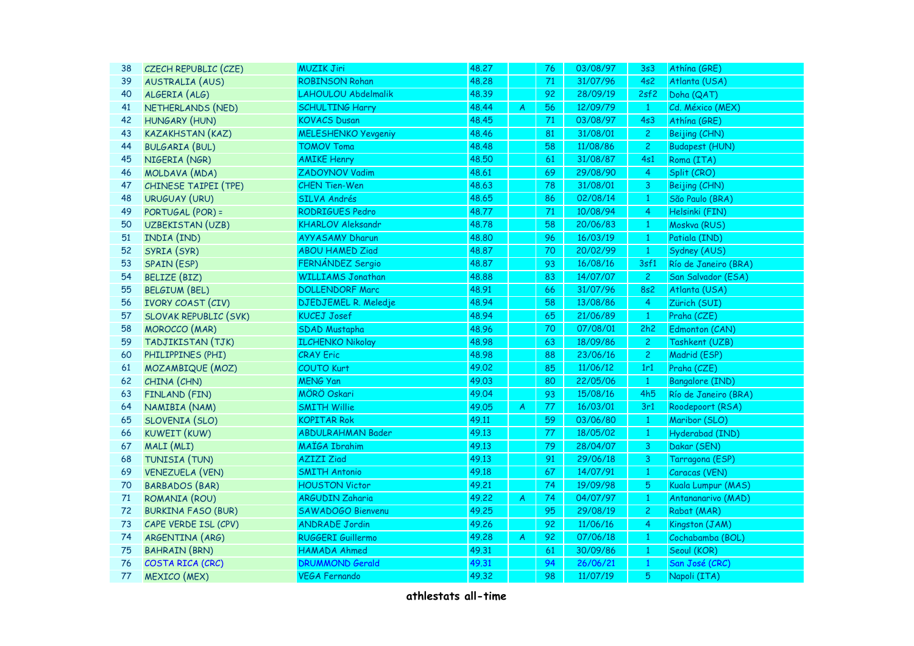| 38 | CZECH REPUBLIC (CZE)         | <b>MUZIK Jiri</b>          | 48.27 |                         | 76 | 03/08/97 | 3s3            | Athína (GRE)           |
|----|------------------------------|----------------------------|-------|-------------------------|----|----------|----------------|------------------------|
| 39 | <b>AUSTRALIA (AUS)</b>       | <b>ROBINSON Rohan</b>      | 48.28 |                         | 71 | 31/07/96 | 4s2            | Atlanta (USA)          |
| 40 | ALGERIA (ALG)                | LAHOULOU Abdelmalik        | 48.39 |                         | 92 | 28/09/19 | 2sf2           | Doha (QAT)             |
| 41 | NETHERLANDS (NED)            | <b>SCHULTING Harry</b>     | 48.44 | $\overline{\mathsf{A}}$ | 56 | 12/09/79 | $\mathbf{1}$   | Cd. México (MEX)       |
| 42 | HUNGARY (HUN)                | <b>KOVACS Dusan</b>        | 48.45 |                         | 71 | 03/08/97 | 4s3            | Athína (GRE)           |
| 43 | <b>KAZAKHSTAN (KAZ)</b>      | <b>MELESHENKO Yevgeniy</b> | 48.46 |                         | 81 | 31/08/01 | $\mathbf{2}$   | Beijing (CHN)          |
| 44 | <b>BULGARIA (BUL)</b>        | <b>TOMOV Toma</b>          | 48.48 |                         | 58 | 11/08/86 | 2 <sup>1</sup> | <b>Budapest (HUN)</b>  |
| 45 | NIGERIA (NGR)                | <b>AMIKE Henry</b>         | 48.50 |                         | 61 | 31/08/87 | 4s1            | Roma (ITA)             |
| 46 | MOLDAVA (MDA)                | ZADOYNOV Vadim             | 48.61 |                         | 69 | 29/08/90 | $\overline{4}$ | Split (CRO)            |
| 47 | CHINESE TAIPEI (TPE)         | <b>CHEN Tien-Wen</b>       | 48.63 |                         | 78 | 31/08/01 | 3              | Beijing (CHN)          |
| 48 | <b>URUGUAY (URU)</b>         | SILVA Andrés               | 48.65 |                         | 86 | 02/08/14 | $\mathbf{1}$   | São Paulo (BRA)        |
| 49 | PORTUGAL (POR) =             | RODRIGUES Pedro            | 48.77 |                         | 71 | 10/08/94 | $\overline{4}$ | Helsinki (FIN)         |
| 50 | UZBEKISTAN (UZB)             | <b>KHARLOV Aleksandr</b>   | 48.78 |                         | 58 | 20/06/83 | $\mathbf{1}$   | Moskva (RUS)           |
| 51 | INDIA (IND)                  | <b>AYYASAMY Dharun</b>     | 48.80 |                         | 96 | 16/03/19 | $\mathbf{1}$   | Patiala (IND)          |
| 52 | SYRIA (SYR)                  | <b>ABOU HAMED Ziad</b>     | 48.87 |                         | 70 | 20/02/99 | $\mathbf{1}$   | Sydney (AUS)           |
| 53 | SPAIN (ESP)                  | FERNÁNDEZ Sergio           | 48.87 |                         | 93 | 16/08/16 | 3sf1           | Río de Janeiro (BRA)   |
| 54 | <b>BELIZE (BIZ)</b>          | <b>WILLIAMS Jonathan</b>   | 48.88 |                         | 83 | 14/07/07 | $\mathbf{2}$   | San Salvador (ESA)     |
| 55 | <b>BELGIUM (BEL)</b>         | <b>DOLLENDORF Marc</b>     | 48.91 |                         | 66 | 31/07/96 | <b>8s2</b>     | Atlanta (USA)          |
| 56 | <b>IVORY COAST (CIV)</b>     | DJEDJEMEL R. Meledje       | 48.94 |                         | 58 | 13/08/86 | $\overline{4}$ | Zürich (SUI)           |
| 57 | <b>SLOVAK REPUBLIC (SVK)</b> | <b>KUCEJ Josef</b>         | 48.94 |                         | 65 | 21/06/89 | $\mathbf{1}$   | Praha (CZE)            |
| 58 | <b>MOROCCO</b> (MAR)         | <b>SDAD Mustapha</b>       | 48.96 |                         | 70 | 07/08/01 | 2h2            | Edmonton (CAN)         |
| 59 | TADJIKISTAN (TJK)            | <b>ILCHENKO Nikolay</b>    | 48.98 |                         | 63 | 18/09/86 | $\mathbf{2}$   | Tashkent (UZB)         |
| 60 | PHILIPPINES (PHI)            | <b>CRAY Eric</b>           | 48.98 |                         | 88 | 23/06/16 | $\overline{2}$ | Madrid (ESP)           |
| 61 | MOZAMBIQUE (MOZ)             | <b>COUTO Kurt</b>          | 49.02 |                         | 85 | 11/06/12 | 1r1            | Praha (CZE)            |
| 62 | CHINA (CHN)                  | <b>MENG Yan</b>            | 49.03 |                         | 80 | 22/05/06 | $\mathbf{1}$   | <b>Bangalore (IND)</b> |
| 63 | FINLAND (FIN)                | MÖRÖ Oskari                | 49.04 |                         | 93 | 15/08/16 | 4h5            | Río de Janeiro (BRA)   |
| 64 | NAMIBIA (NAM)                | <b>SMITH Willie</b>        | 49.05 | A                       | 77 | 16/03/01 | 3r1            | Roodepoort (RSA)       |
| 65 | <b>SLOVENIA (SLO)</b>        | <b>KOPITAR Rok</b>         | 49.11 |                         | 59 | 03/06/80 | $\mathbf{1}$   | Maribor (SLO)          |
| 66 | <b>KUWEIT (KUW)</b>          | <b>ABDULRAHMAN Bader</b>   | 49.13 |                         | 77 | 18/05/02 | $\mathbf{1}$   | Hyderabad (IND)        |
| 67 | MALI (MLI)                   | <b>MAÏGA Ibrahim</b>       | 49.13 |                         | 79 | 28/04/07 | 3              | Dakar (SEN)            |
| 68 | TUNISIA (TUN)                | <b>AZIZI Ziad</b>          | 49.13 |                         | 91 | 29/06/18 | 3              | Tarragona (ESP)        |
| 69 | <b>VENEZUELA (VEN)</b>       | <b>SMITH Antonio</b>       | 49.18 |                         | 67 | 14/07/91 | $\mathbf{1}$   | Caracas (VEN)          |
| 70 | <b>BARBADOS (BAR)</b>        | <b>HOUSTON Victor</b>      | 49.21 |                         | 74 | 19/09/98 | 5 <sub>1</sub> | Kuala Lumpur (MAS)     |
| 71 | ROMANIA (ROU)                | <b>ARGUDIN Zaharia</b>     | 49.22 | $\boldsymbol{A}$        | 74 | 04/07/97 | $\mathbf{1}$   | Antananarivo (MAD)     |
| 72 | <b>BURKINA FASO (BUR)</b>    | SAWADOGO Bienvenu          | 49.25 |                         | 95 | 29/08/19 | $\overline{c}$ | Rabat (MAR)            |
| 73 | CAPE VERDE ISL (CPV)         | <b>ANDRADE Jordin</b>      | 49.26 |                         | 92 | 11/06/16 | 4              | Kingston (JAM)         |
| 74 | ARGENTINA (ARG)              | RUGGERI Guillermo          | 49.28 | A                       | 92 | 07/06/18 | $\mathbf{1}$   | Cochabamba (BOL)       |
| 75 | <b>BAHRAIN (BRN)</b>         | HAMADA Ahmed               | 49.31 |                         | 61 | 30/09/86 | $\mathbf{1}$   | Seoul (KOR)            |
| 76 | COSTA RICA (CRC)             | <b>DRUMMOND Gerald</b>     | 49.31 |                         | 94 | 26/06/21 | $\mathbf{1}$   | San José (CRC)         |
| 77 | <b>MEXICO</b> (MEX)          | <b>VEGA Fernando</b>       | 49.32 |                         | 98 | 11/07/19 | 5              | Napoli (ITA)           |